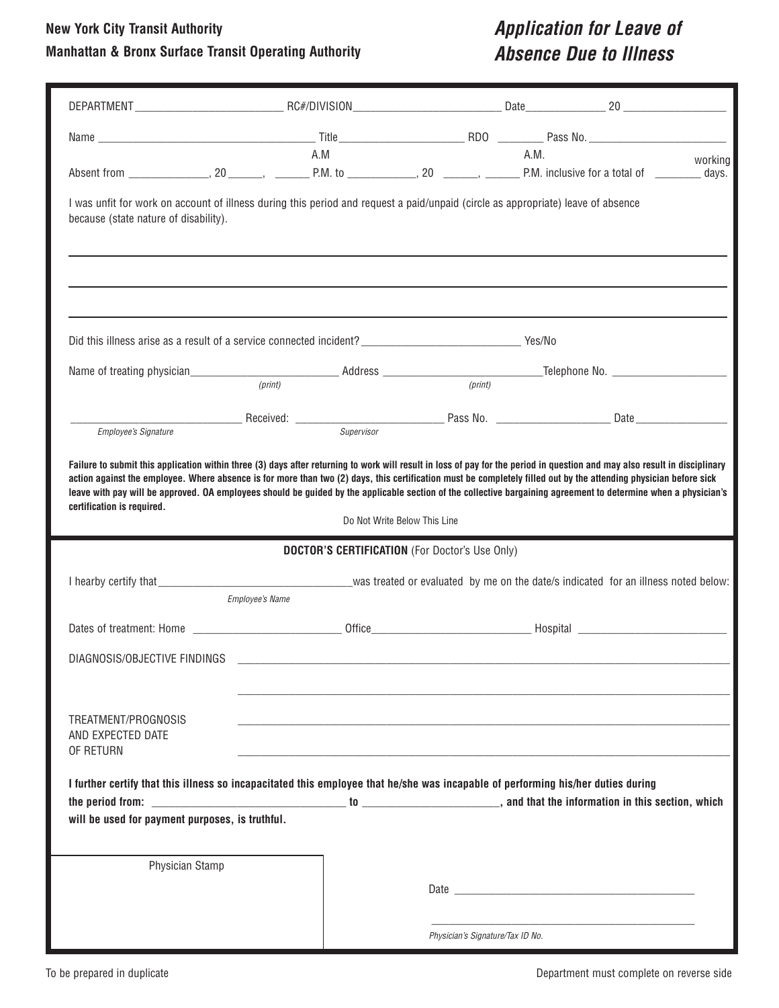#### **New York City Transit Authority**

### **Manhattan & Bronx Surface Transit Operating Authority**

### *Application for Leave of Absence Due to Illness*

|                                                                                                                                                                                               | A.M                                                                                                                                                                                                                                | A.M.    |         |
|-----------------------------------------------------------------------------------------------------------------------------------------------------------------------------------------------|------------------------------------------------------------------------------------------------------------------------------------------------------------------------------------------------------------------------------------|---------|---------|
|                                                                                                                                                                                               |                                                                                                                                                                                                                                    |         | working |
| because (state nature of disability).                                                                                                                                                         | I was unfit for work on account of illness during this period and request a paid/unpaid (circle as appropriate) leave of absence                                                                                                   |         |         |
|                                                                                                                                                                                               | Did this illness arise as a result of a service connected incident?<br>Note that the service of the service connected incident?<br>Note that the service of the service of the service of the service of the service of the servic |         |         |
|                                                                                                                                                                                               | (print)                                                                                                                                                                                                                            | (print) |         |
|                                                                                                                                                                                               |                                                                                                                                                                                                                                    |         |         |
|                                                                                                                                                                                               |                                                                                                                                                                                                                                    |         |         |
| Employee's Signature                                                                                                                                                                          |                                                                                                                                                                                                                                    |         |         |
| leave with pay will be approved. OA employees should be guided by the applicable section of the collective bargaining agreement to determine when a physician's<br>certification is required. |                                                                                                                                                                                                                                    |         |         |
|                                                                                                                                                                                               | Do Not Write Below This Line<br><b>DOCTOR'S CERTIFICATION</b> (For Doctor's Use Only)                                                                                                                                              |         |         |
|                                                                                                                                                                                               | I hearby certify that example that the second service was treated or evaluated by me on the date/s indicated for an illness noted below:<br><b>Employee's Name</b>                                                                 |         |         |
|                                                                                                                                                                                               |                                                                                                                                                                                                                                    |         |         |
| DIAGNOSIS/OBJECTIVE FINDINGS                                                                                                                                                                  |                                                                                                                                                                                                                                    |         |         |
| TREATMENT/PROGNOSIS<br>AND EXPECTED DATE<br>OF RETURN                                                                                                                                         |                                                                                                                                                                                                                                    |         |         |
|                                                                                                                                                                                               | I further certify that this illness so incapacitated this employee that he/she was incapable of performing his/her duties during                                                                                                   |         |         |
| will be used for payment purposes, is truthful.                                                                                                                                               |                                                                                                                                                                                                                                    |         |         |
|                                                                                                                                                                                               |                                                                                                                                                                                                                                    |         |         |
| Physician Stamp                                                                                                                                                                               |                                                                                                                                                                                                                                    |         |         |
|                                                                                                                                                                                               |                                                                                                                                                                                                                                    |         |         |